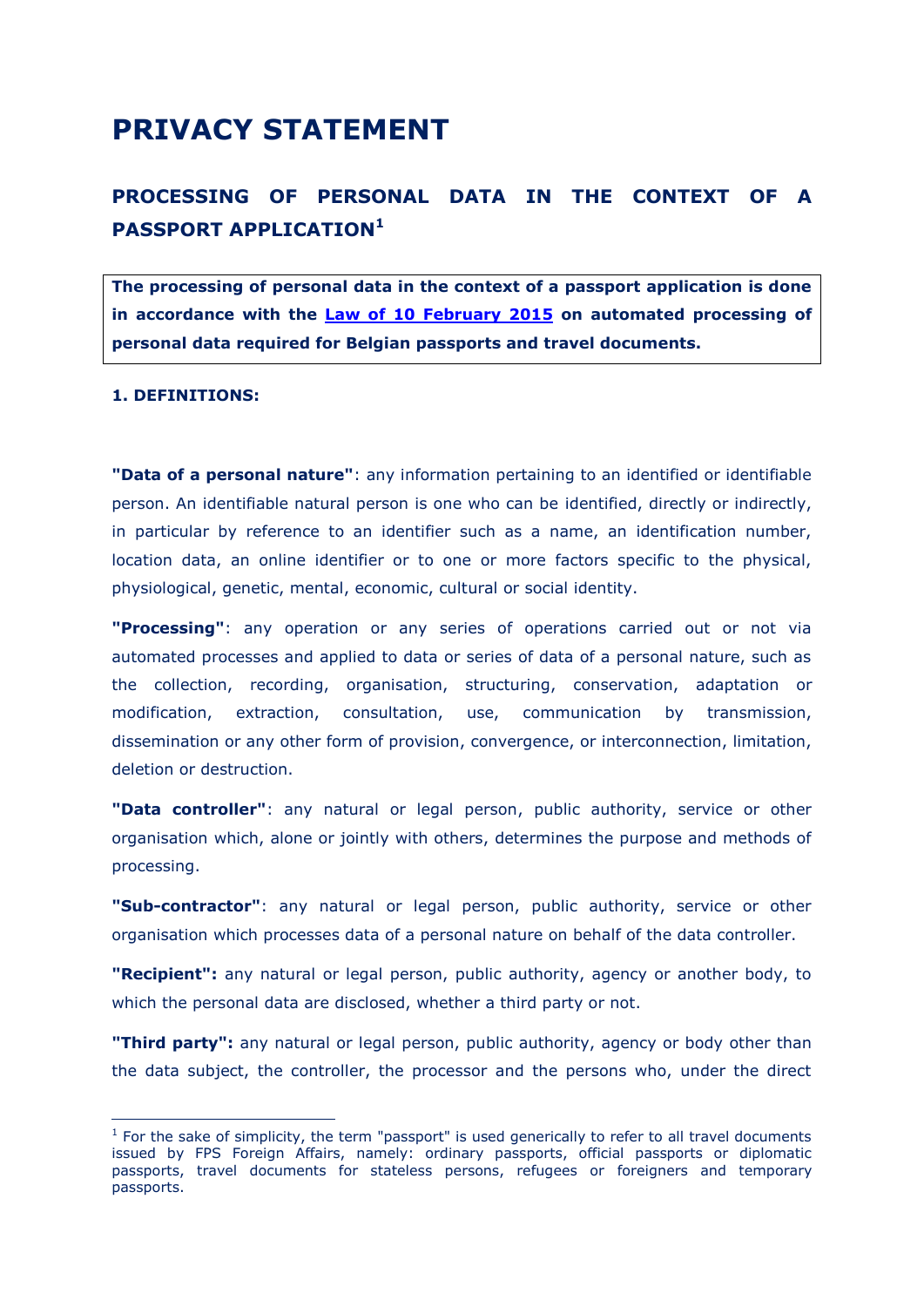# **PRIVACY STATEMENT**

## **PROCESSING OF PERSONAL DATA IN THE CONTEXT OF A PASSPORT APPLICATION<sup>1</sup>**

**The processing of personal data in the context of a passport application is done in accordance with the [Law of 10 February 2015](http://www.ejustice.just.fgov.be/cgi_loi/change_lg.pl?language=fr&la=F&cn=2015021007&table_name=loi) on automated processing of personal data required for Belgian passports and travel documents.** 

#### **1. DEFINITIONS:**

-

**"Data of a personal nature"**: any information pertaining to an identified or identifiable person. An identifiable natural person is one who can be identified, directly or indirectly, in particular by reference to an identifier such as a name, an identification number, location data, an online identifier or to one or more factors specific to the physical, physiological, genetic, mental, economic, cultural or social identity.

**"Processing"**: any operation or any series of operations carried out or not via automated processes and applied to data or series of data of a personal nature, such as the collection, recording, organisation, structuring, conservation, adaptation or modification, extraction, consultation, use, communication by transmission, dissemination or any other form of provision, convergence, or interconnection, limitation, deletion or destruction.

**"Data controller"**: any natural or legal person, public authority, service or other organisation which, alone or jointly with others, determines the purpose and methods of processing.

**"Sub-contractor"**: any natural or legal person, public authority, service or other organisation which processes data of a personal nature on behalf of the data controller.

**"Recipient":** any natural or legal person, public authority, agency or another body, to which the personal data are disclosed, whether a third party or not.

**"Third party":** any natural or legal person, public authority, agency or body other than the data subject, the controller, the processor and the persons who, under the direct

 $<sup>1</sup>$  For the sake of simplicity, the term "passport" is used generically to refer to all travel documents</sup> issued by FPS Foreign Affairs, namely: ordinary passports, official passports or diplomatic passports, travel documents for stateless persons, refugees or foreigners and temporary passports.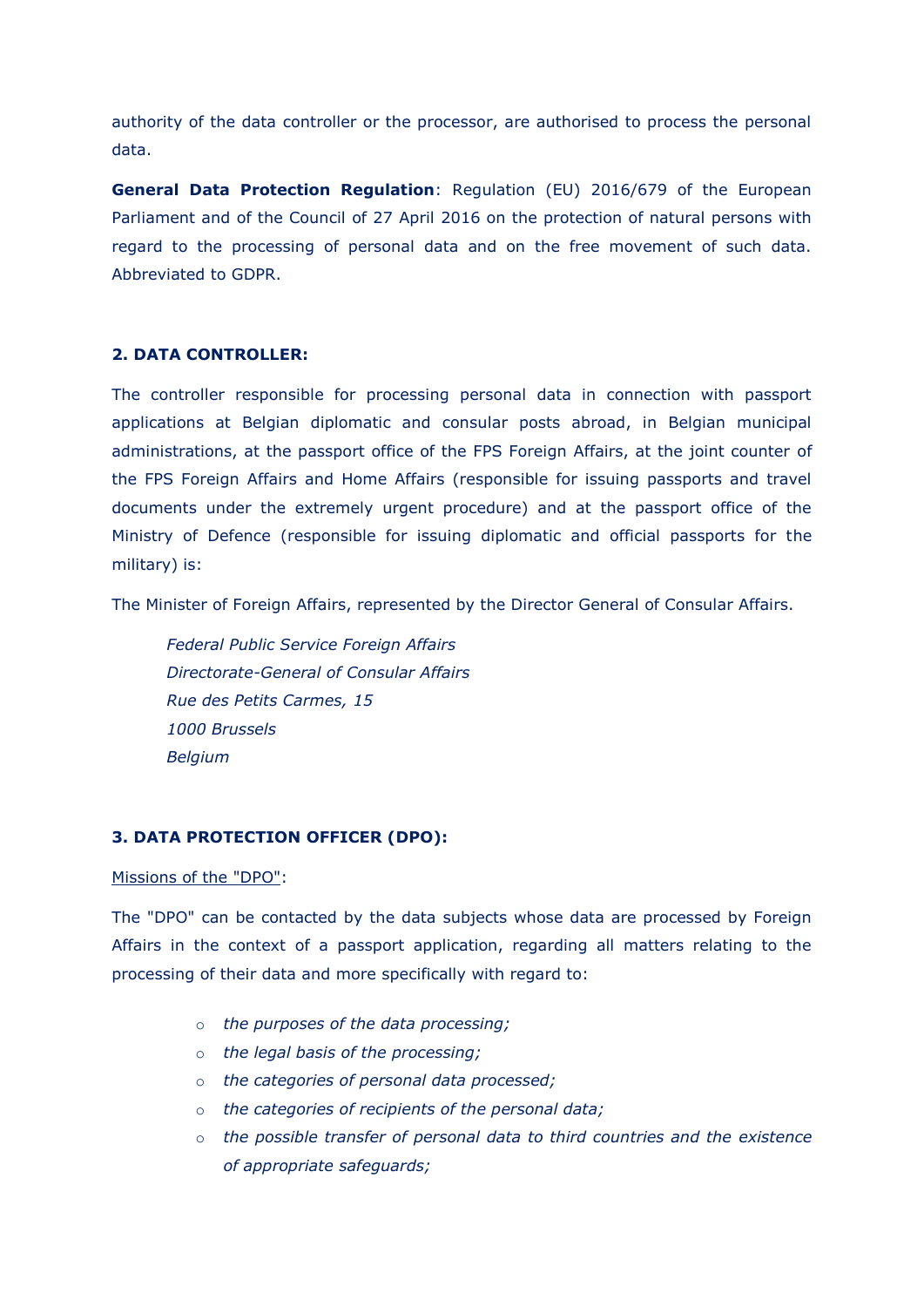authority of the data controller or the processor, are authorised to process the personal data.

**General Data Protection Regulation**: Regulation (EU) 2016/679 of the European Parliament and of the Council of 27 April 2016 on the protection of natural persons with regard to the processing of personal data and on the free movement of such data. Abbreviated to GDPR.

### **2. DATA CONTROLLER:**

The controller responsible for processing personal data in connection with passport applications at Belgian diplomatic and consular posts abroad, in Belgian municipal administrations, at the passport office of the FPS Foreign Affairs, at the joint counter of the FPS Foreign Affairs and Home Affairs (responsible for issuing passports and travel documents under the extremely urgent procedure) and at the passport office of the Ministry of Defence (responsible for issuing diplomatic and official passports for the military) is:

The Minister of Foreign Affairs, represented by the Director General of Consular Affairs.

*Federal Public Service Foreign Affairs Directorate-General of Consular Affairs Rue des Petits Carmes, 15 1000 Brussels Belgium*

#### **3. DATA PROTECTION OFFICER (DPO):**

#### Missions of the "DPO":

The "DPO" can be contacted by the data subjects whose data are processed by Foreign Affairs in the context of a passport application, regarding all matters relating to the processing of their data and more specifically with regard to:

- o *the purposes of the data processing;*
- o *the legal basis of the processing;*
- o *the categories of personal data processed;*
- o *the categories of recipients of the personal data;*
- o *the possible transfer of personal data to third countries and the existence of appropriate safeguards;*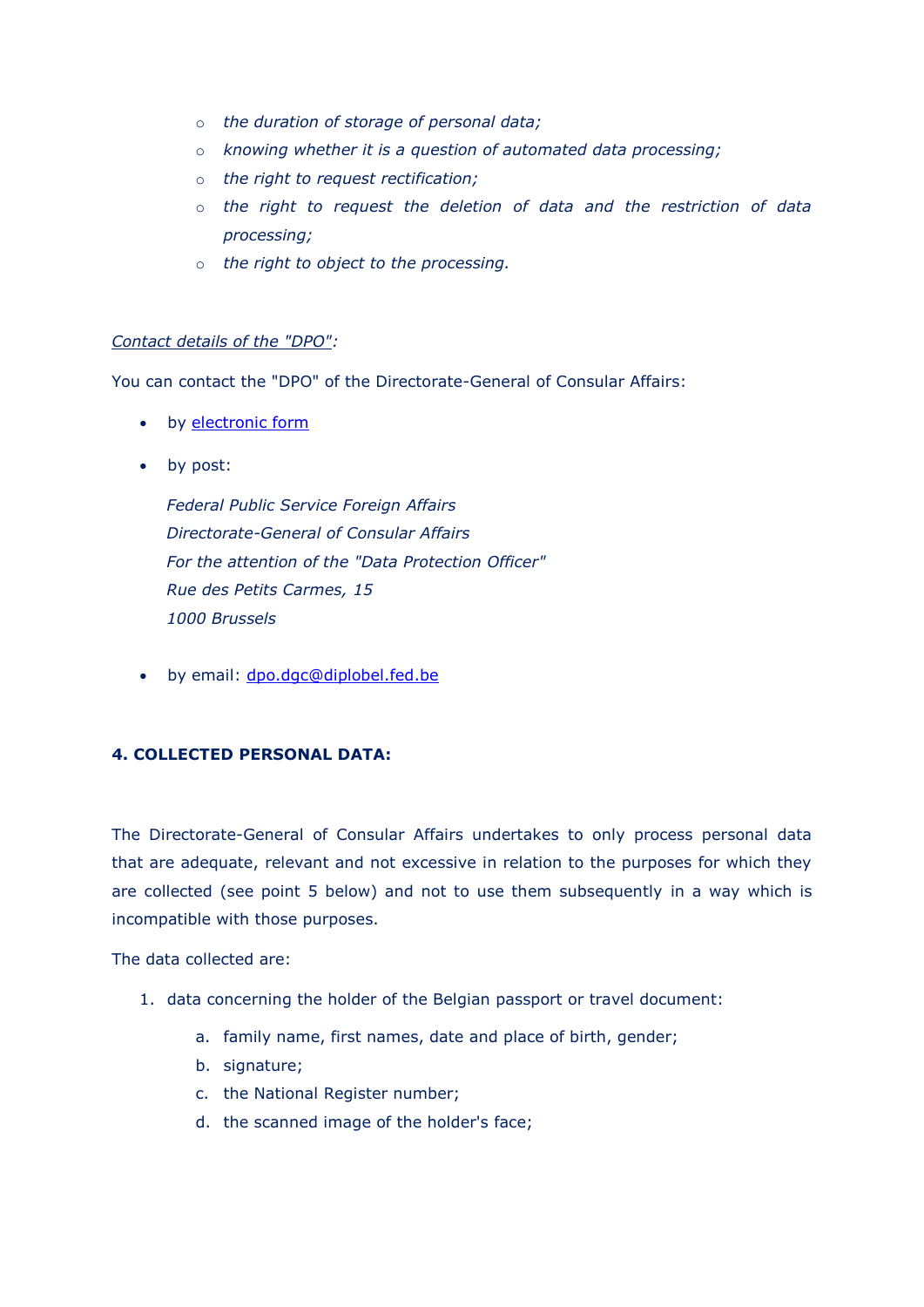- o *the duration of storage of personal data;*
- o *knowing whether it is a question of automated data processing;*
- o *the right to request rectification;*
- o *the right to request the deletion of data and the restriction of data processing;*
- o *the right to object to the processing.*

## *Contact details of the "DPO":*

You can contact the "DPO" of the Directorate-General of Consular Affairs:

- by [electronic form](https://diplomatie.belgium.be/fr/gdpr)
- by post:

*Federal Public Service Foreign Affairs Directorate-General of Consular Affairs For the attention of the "Data Protection Officer" Rue des Petits Carmes, 15 1000 Brussels*

• by email: [dpo.dgc@diplobel.fed.be](mailto:dpo.dgc@diplobel.fed.be)

## **4. COLLECTED PERSONAL DATA:**

The Directorate-General of Consular Affairs undertakes to only process personal data that are adequate, relevant and not excessive in relation to the purposes for which they are collected (see point 5 below) and not to use them subsequently in a way which is incompatible with those purposes.

The data collected are:

- 1. data concerning the holder of the Belgian passport or travel document:
	- a. family name, first names, date and place of birth, gender;
	- b. signature:
	- c. the National Register number;
	- d. the scanned image of the holder's face;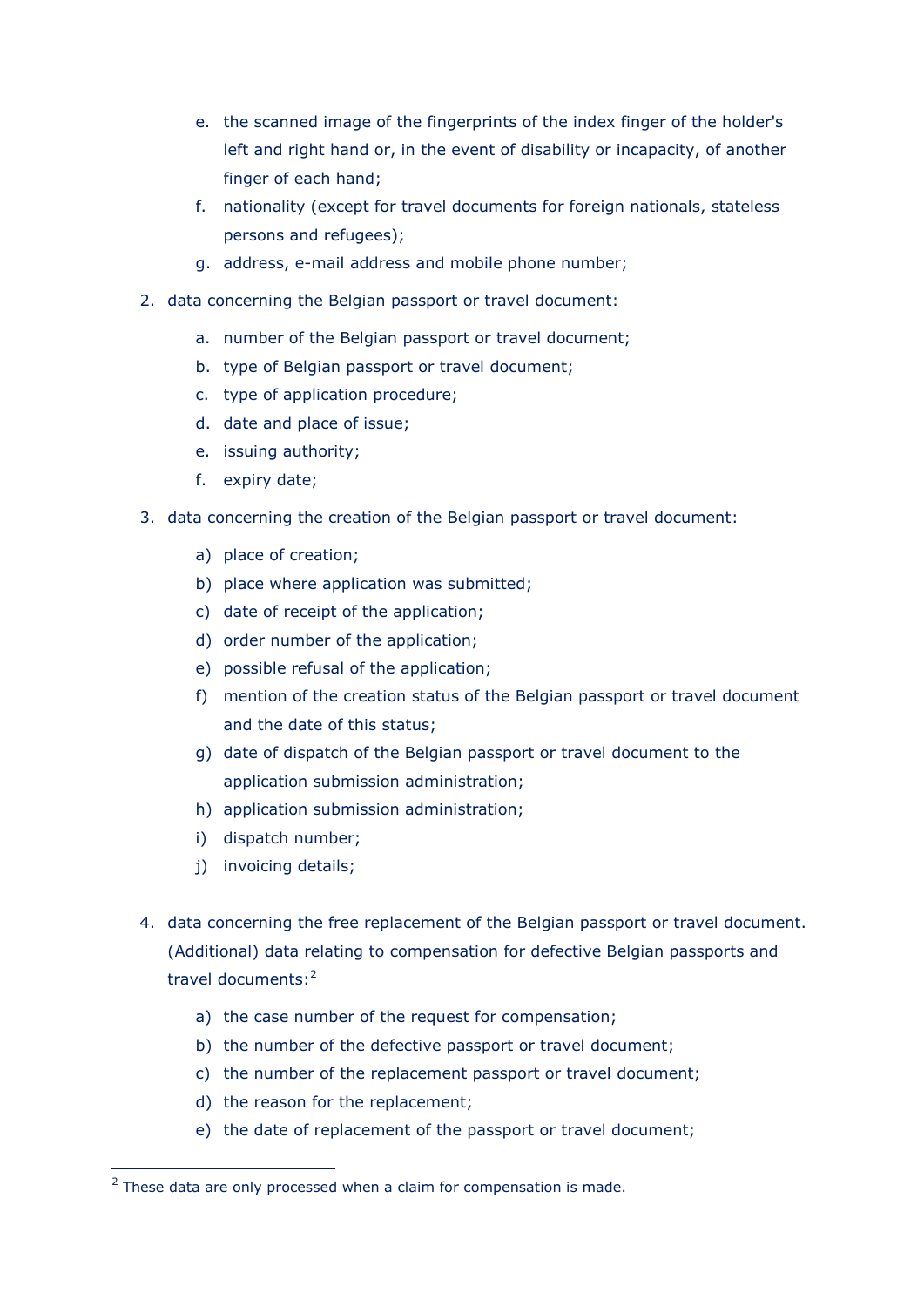- e. the scanned image of the fingerprints of the index finger of the holder's left and right hand or, in the event of disability or incapacity, of another finger of each hand;
- f. nationality (except for travel documents for foreign nationals, stateless persons and refugees);
- g. address, e-mail address and mobile phone number;
- 2. data concerning the Belgian passport or travel document:
	- a. number of the Belgian passport or travel document;
	- b. type of Belgian passport or travel document;
	- c. type of application procedure;
	- d. date and place of issue;
	- e. issuing authority;
	- f. expiry date;
- 3. data concerning the creation of the Belgian passport or travel document:
	- a) place of creation;
	- b) place where application was submitted;
	- c) date of receipt of the application;
	- d) order number of the application;
	- e) possible refusal of the application;
	- f) mention of the creation status of the Belgian passport or travel document and the date of this status;
	- g) date of dispatch of the Belgian passport or travel document to the application submission administration;
	- h) application submission administration;
	- i) dispatch number;
	- j) invoicing details;

-

- 4. data concerning the free replacement of the Belgian passport or travel document. (Additional) data relating to compensation for defective Belgian passports and travel documents:<sup>2</sup>
	- a) the case number of the request for compensation;
	- b) the number of the defective passport or travel document;
	- c) the number of the replacement passport or travel document;
	- d) the reason for the replacement;
	- e) the date of replacement of the passport or travel document;

 $2$  These data are only processed when a claim for compensation is made.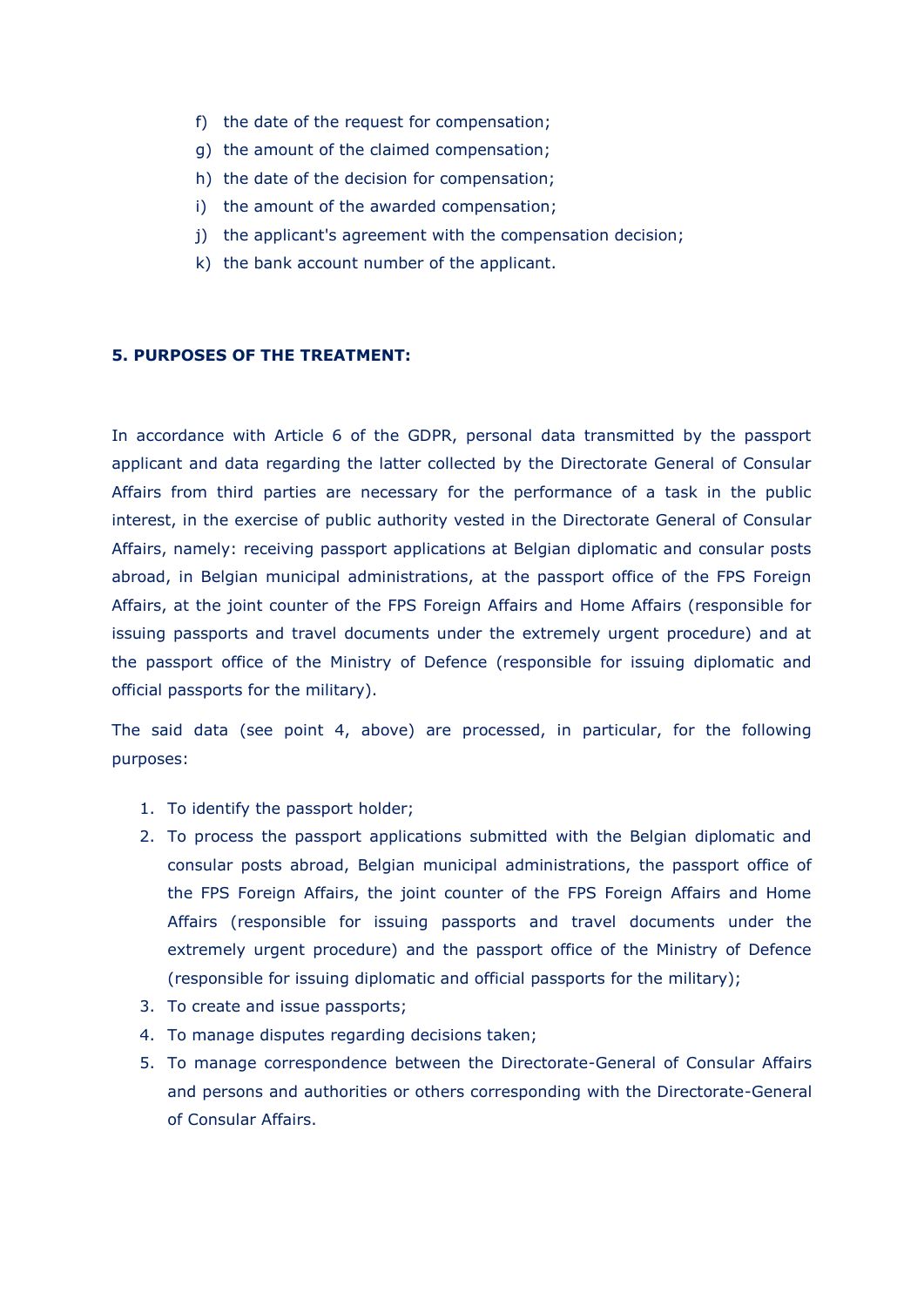- f) the date of the request for compensation;
- g) the amount of the claimed compensation;
- h) the date of the decision for compensation;
- i) the amount of the awarded compensation;
- j) the applicant's agreement with the compensation decision;
- k) the bank account number of the applicant.

### **5. PURPOSES OF THE TREATMENT:**

In accordance with Article 6 of the GDPR, personal data transmitted by the passport applicant and data regarding the latter collected by the Directorate General of Consular Affairs from third parties are necessary for the performance of a task in the public interest, in the exercise of public authority vested in the Directorate General of Consular Affairs, namely: receiving passport applications at Belgian diplomatic and consular posts abroad, in Belgian municipal administrations, at the passport office of the FPS Foreign Affairs, at the joint counter of the FPS Foreign Affairs and Home Affairs (responsible for issuing passports and travel documents under the extremely urgent procedure) and at the passport office of the Ministry of Defence (responsible for issuing diplomatic and official passports for the military).

The said data (see point 4, above) are processed, in particular, for the following purposes:

- 1. To identify the passport holder;
- 2. To process the passport applications submitted with the Belgian diplomatic and consular posts abroad, Belgian municipal administrations, the passport office of the FPS Foreign Affairs, the joint counter of the FPS Foreign Affairs and Home Affairs (responsible for issuing passports and travel documents under the extremely urgent procedure) and the passport office of the Ministry of Defence (responsible for issuing diplomatic and official passports for the military);
- 3. To create and issue passports;
- 4. To manage disputes regarding decisions taken;
- 5. To manage correspondence between the Directorate-General of Consular Affairs and persons and authorities or others corresponding with the Directorate-General of Consular Affairs.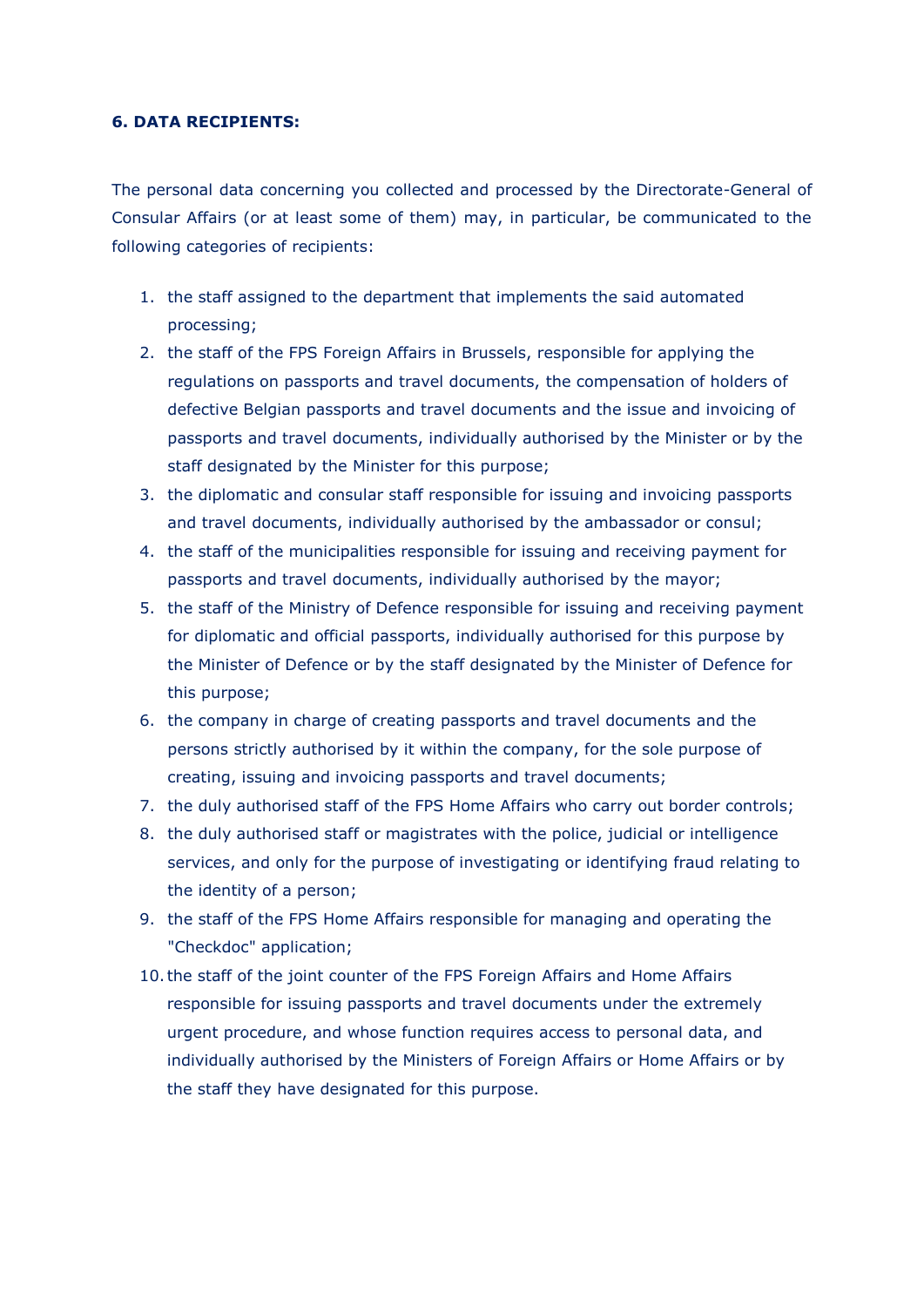#### **6. DATA RECIPIENTS:**

The personal data concerning you collected and processed by the Directorate-General of Consular Affairs (or at least some of them) may, in particular, be communicated to the following categories of recipients:

- 1. the staff assigned to the department that implements the said automated processing;
- 2. the staff of the FPS Foreign Affairs in Brussels, responsible for applying the regulations on passports and travel documents, the compensation of holders of defective Belgian passports and travel documents and the issue and invoicing of passports and travel documents, individually authorised by the Minister or by the staff designated by the Minister for this purpose;
- 3. the diplomatic and consular staff responsible for issuing and invoicing passports and travel documents, individually authorised by the ambassador or consul;
- 4. the staff of the municipalities responsible for issuing and receiving payment for passports and travel documents, individually authorised by the mayor;
- 5. the staff of the Ministry of Defence responsible for issuing and receiving payment for diplomatic and official passports, individually authorised for this purpose by the Minister of Defence or by the staff designated by the Minister of Defence for this purpose;
- 6. the company in charge of creating passports and travel documents and the persons strictly authorised by it within the company, for the sole purpose of creating, issuing and invoicing passports and travel documents;
- 7. the duly authorised staff of the FPS Home Affairs who carry out border controls;
- 8. the duly authorised staff or magistrates with the police, judicial or intelligence services, and only for the purpose of investigating or identifying fraud relating to the identity of a person;
- 9. the staff of the FPS Home Affairs responsible for managing and operating the "Checkdoc" application;
- 10.the staff of the joint counter of the FPS Foreign Affairs and Home Affairs responsible for issuing passports and travel documents under the extremely urgent procedure, and whose function requires access to personal data, and individually authorised by the Ministers of Foreign Affairs or Home Affairs or by the staff they have designated for this purpose.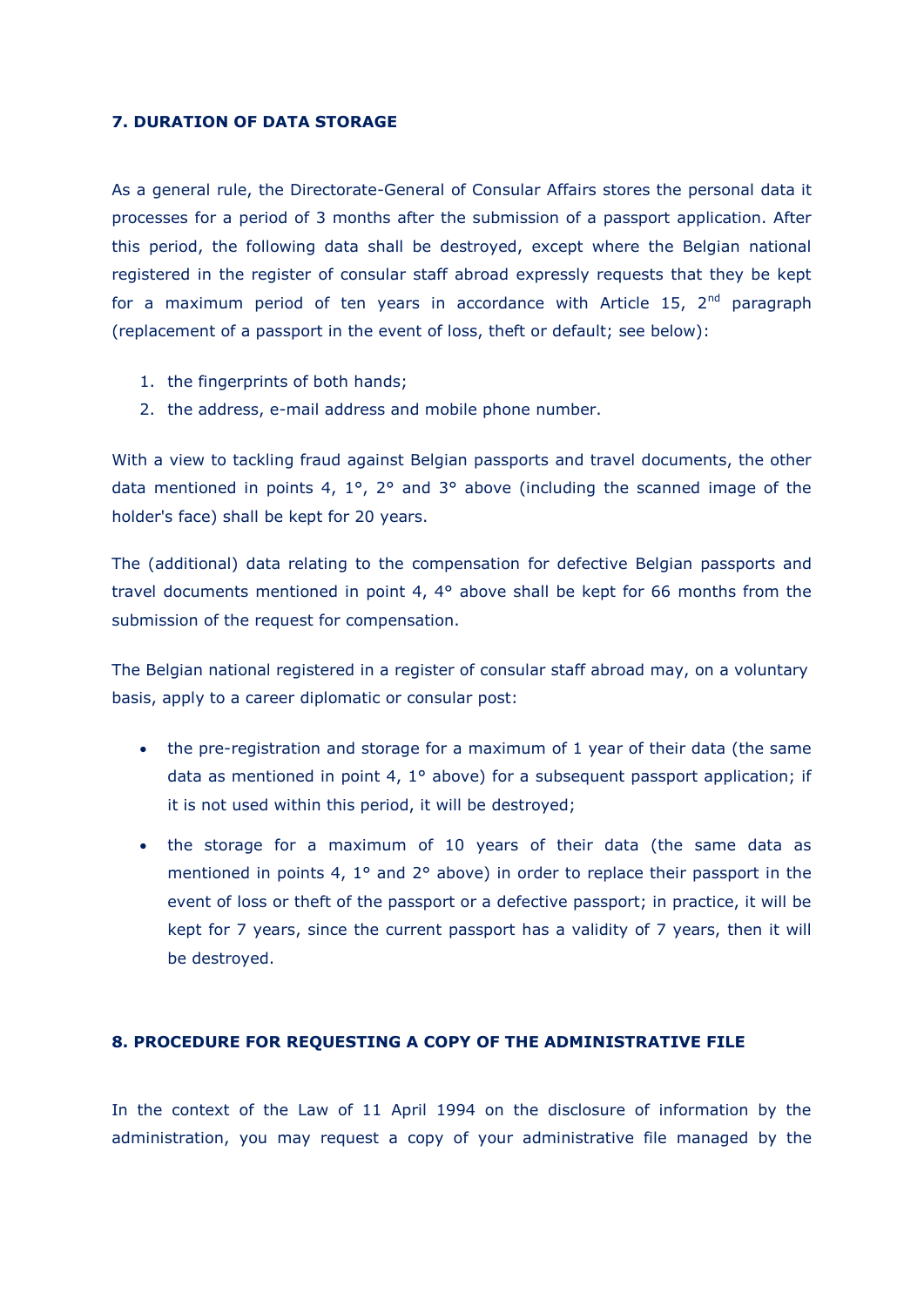#### **7. DURATION OF DATA STORAGE**

As a general rule, the Directorate-General of Consular Affairs stores the personal data it processes for a period of 3 months after the submission of a passport application. After this period, the following data shall be destroyed, except where the Belgian national registered in the register of consular staff abroad expressly requests that they be kept for a maximum period of ten years in accordance with Article 15,  $2<sup>nd</sup>$  paragraph (replacement of a passport in the event of loss, theft or default; see below):

- 1. the fingerprints of both hands;
- 2. the address, e-mail address and mobile phone number.

With a view to tackling fraud against Belgian passports and travel documents, the other data mentioned in points 4, 1°, 2° and 3° above (including the scanned image of the holder's face) shall be kept for 20 years.

The (additional) data relating to the compensation for defective Belgian passports and travel documents mentioned in point 4, 4° above shall be kept for 66 months from the submission of the request for compensation.

The Belgian national registered in a register of consular staff abroad may, on a voluntary basis, apply to a career diplomatic or consular post:

- the pre-registration and storage for a maximum of 1 year of their data (the same data as mentioned in point 4, 1° above) for a subsequent passport application; if it is not used within this period, it will be destroyed;
- the storage for a maximum of 10 years of their data (the same data as mentioned in points 4, 1° and 2° above) in order to replace their passport in the event of loss or theft of the passport or a defective passport; in practice, it will be kept for 7 years, since the current passport has a validity of 7 years, then it will be destroyed.

#### **8. PROCEDURE FOR REQUESTING A COPY OF THE ADMINISTRATIVE FILE**

In the context of the Law of 11 April 1994 on the disclosure of information by the administration, you may request a copy of your administrative file managed by the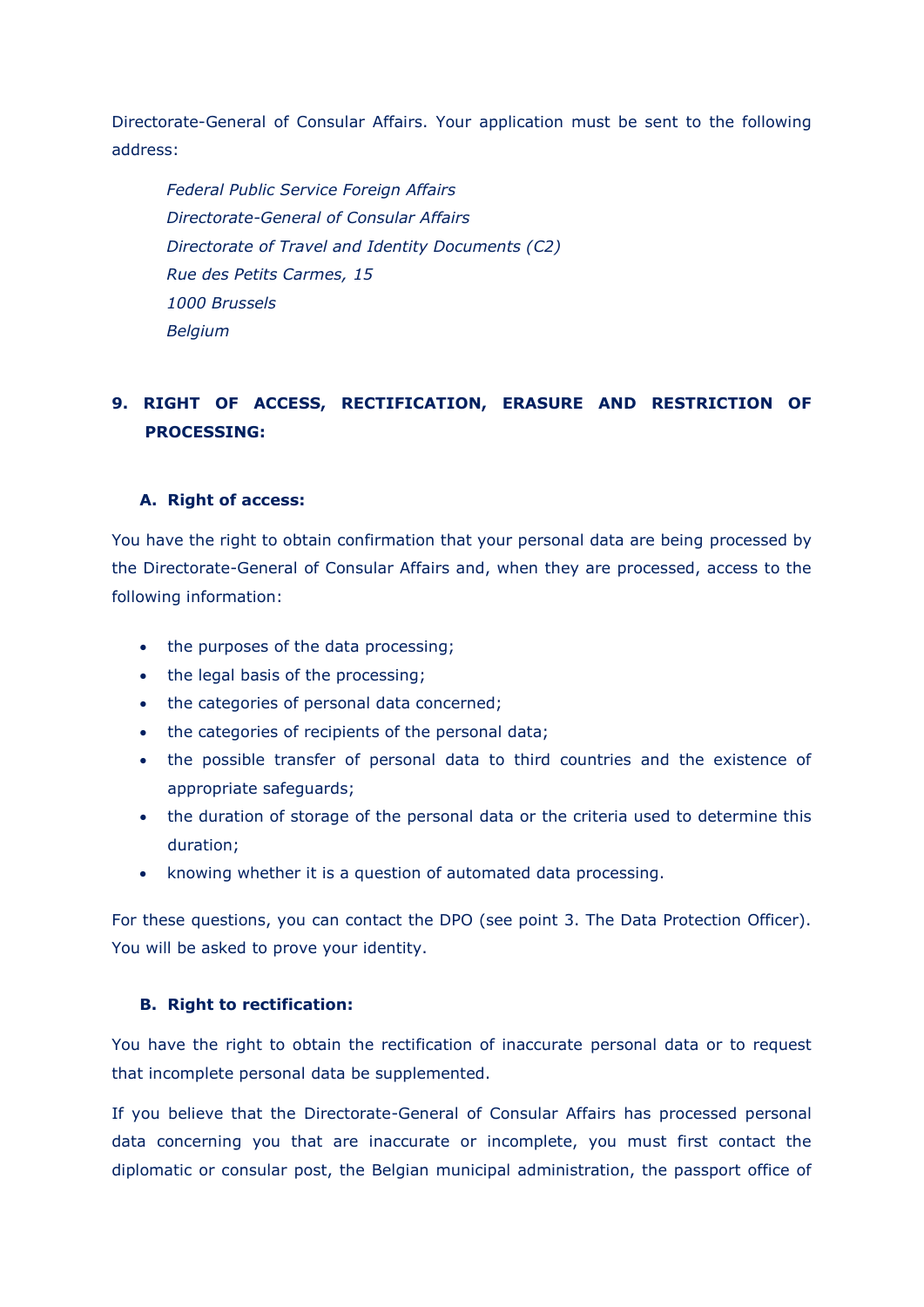Directorate-General of Consular Affairs. Your application must be sent to the following address:

*Federal Public Service Foreign Affairs Directorate-General of Consular Affairs Directorate of Travel and Identity Documents (C2) Rue des Petits Carmes, 15 1000 Brussels Belgium*

## **9. RIGHT OF ACCESS, RECTIFICATION, ERASURE AND RESTRICTION OF PROCESSING:**

## **A. Right of access:**

You have the right to obtain confirmation that your personal data are being processed by the Directorate-General of Consular Affairs and, when they are processed, access to the following information:

- the purposes of the data processing;
- the legal basis of the processing;
- the categories of personal data concerned;
- the categories of recipients of the personal data;
- the possible transfer of personal data to third countries and the existence of appropriate safeguards;
- the duration of storage of the personal data or the criteria used to determine this duration;
- knowing whether it is a question of automated data processing.

For these questions, you can contact the DPO (see point 3. The Data Protection Officer). You will be asked to prove your identity.

## **B. Right to rectification:**

You have the right to obtain the rectification of inaccurate personal data or to request that incomplete personal data be supplemented.

If you believe that the Directorate-General of Consular Affairs has processed personal data concerning you that are inaccurate or incomplete, you must first contact the diplomatic or consular post, the Belgian municipal administration, the passport office of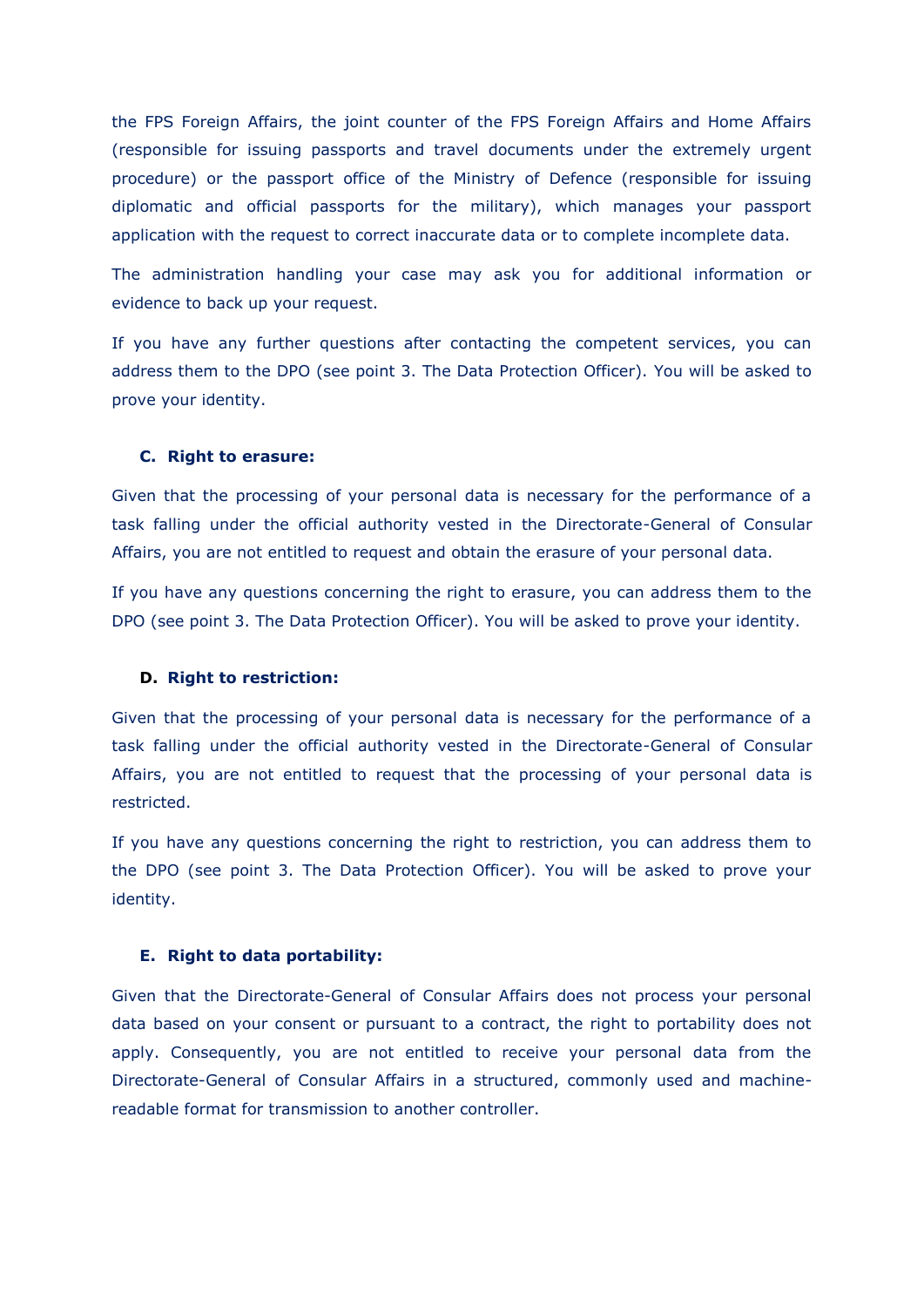the FPS Foreign Affairs, the joint counter of the FPS Foreign Affairs and Home Affairs (responsible for issuing passports and travel documents under the extremely urgent procedure) or the passport office of the Ministry of Defence (responsible for issuing diplomatic and official passports for the military), which manages your passport application with the request to correct inaccurate data or to complete incomplete data.

The administration handling your case may ask you for additional information or evidence to back up your request.

If you have any further questions after contacting the competent services, you can address them to the DPO (see point 3. The Data Protection Officer). You will be asked to prove your identity.

#### **C. Right to erasure:**

Given that the processing of your personal data is necessary for the performance of a task falling under the official authority vested in the Directorate-General of Consular Affairs, you are not entitled to request and obtain the erasure of your personal data.

If you have any questions concerning the right to erasure, you can address them to the DPO (see point 3. The Data Protection Officer). You will be asked to prove your identity.

#### **D. Right to restriction:**

Given that the processing of your personal data is necessary for the performance of a task falling under the official authority vested in the Directorate-General of Consular Affairs, you are not entitled to request that the processing of your personal data is restricted.

If you have any questions concerning the right to restriction, you can address them to the DPO (see point 3. The Data Protection Officer). You will be asked to prove your identity.

#### **E. Right to data portability:**

Given that the Directorate-General of Consular Affairs does not process your personal data based on your consent or pursuant to a contract, the right to portability does not apply. Consequently, you are not entitled to receive your personal data from the Directorate-General of Consular Affairs in a structured, commonly used and machinereadable format for transmission to another controller.